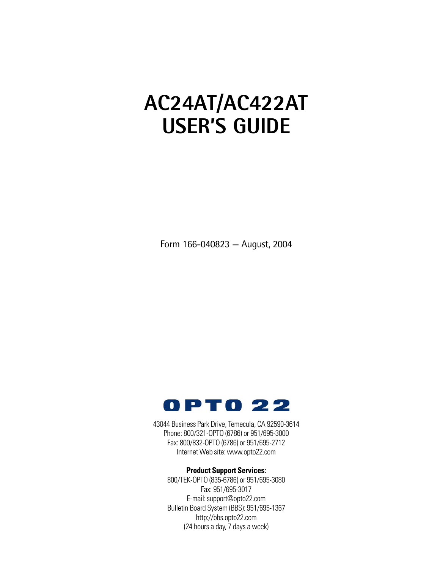## **AC24AT/AC422AT USER'S GUIDE**

Form 166-040823 — August, 2004



43044 Business Park Drive, Temecula, CA 92590-3614 Phone: 800/321-OPTO (6786) or 951/695-3000 Fax: 800/832-OPTO (6786) or 951/695-2712 Internet Web site: www.opto22.com

#### **Product Support Services:**

800/TEK-OPTO (835-6786) or 951/695-3080 Fax: 951/695-3017 E-mail: support@opto22.com Bulletin Board System (BBS): 951/695-1367 http://bbs.opto22.com (24 hours a day, 7 days a week)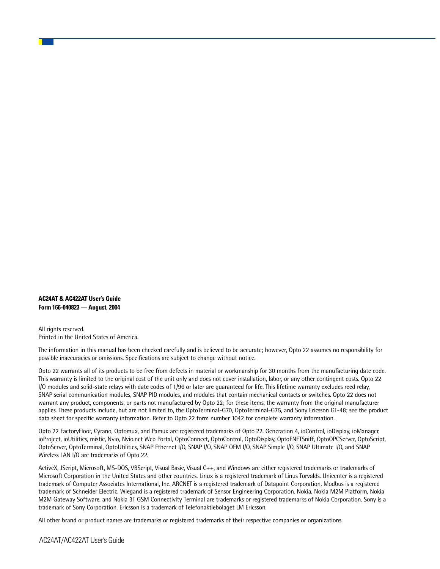**AC24AT & AC422AT User's Guide Form 166-040823 — August, 2004**

All rights reserved. Printed in the United States of America.

The information in this manual has been checked carefully and is believed to be accurate; however, Opto 22 assumes no responsibility for possible inaccuracies or omissions. Specifications are subject to change without notice.

Opto 22 warrants all of its products to be free from defects in material or workmanship for 30 months from the manufacturing date code. This warranty is limited to the original cost of the unit only and does not cover installation, labor, or any other contingent costs. Opto 22 I/O modules and solid-state relays with date codes of 1/96 or later are guaranteed for life. This lifetime warranty excludes reed relay, SNAP serial communication modules, SNAP PID modules, and modules that contain mechanical contacts or switches. Opto 22 does not warrant any product, components, or parts not manufactured by Opto 22; for these items, the warranty from the original manufacturer applies. These products include, but are not limited to, the OptoTerminal-G70, OptoTerminal-G75, and Sony Ericsson GT-48; see the product data sheet for specific warranty information. Refer to Opto 22 form number 1042 for complete warranty information.

Opto 22 FactoryFloor, Cyrano, Optomux, and Pamux are registered trademarks of Opto 22. Generation 4, ioControl, ioDisplay, ioManager, ioProject, ioUtilities, mistic, Nvio, Nvio.net Web Portal, OptoConnect, OptoControl, OptoDisplay, OptoENETSniff, OptoOPCServer, OptoScript, OptoServer, OptoTerminal, OptoUtilities, SNAP Ethernet I/O, SNAP I/O, SNAP OEM I/O, SNAP Simple I/O, SNAP Ultimate I/O, and SNAP Wireless LAN I/O are trademarks of Opto 22.

ActiveX, JScript, Microsoft, MS-DOS, VBScript, Visual Basic, Visual C++, and Windows are either registered trademarks or trademarks of Microsoft Corporation in the United States and other countries. Linux is a registered trademark of Linus Torvalds. Unicenter is a registered trademark of Computer Associates International, Inc. ARCNET is a registered trademark of Datapoint Corporation. Modbus is a registered trademark of Schneider Electric. Wiegand is a registered trademark of Sensor Engineering Corporation. Nokia, Nokia M2M Platform, Nokia M2M Gateway Software, and Nokia 31 GSM Connectivity Terminal are trademarks or registered trademarks of Nokia Corporation. Sony is a trademark of Sony Corporation. Ericsson is a trademark of Telefonaktiebolaget LM Ericsson.

All other brand or product names are trademarks or registered trademarks of their respective companies or organizations.

AC24AT/AC422AT User's Guide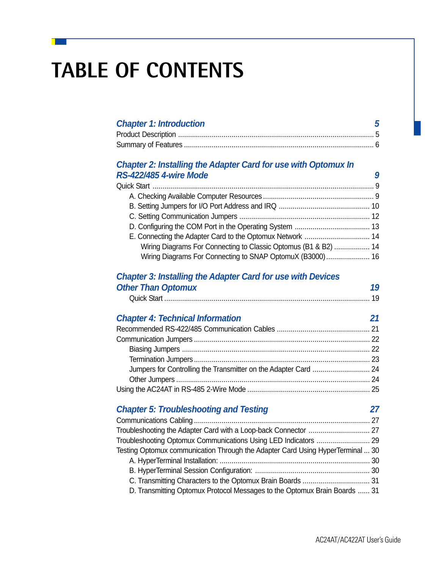# **TABLE OF CONTENTS**

## **Chapter 1: Introduction 5**

### *Chapter 2: Installing the Adapter Card for use with Optomux In RS-422/485 4-wire Mode 9*

| Wiring Diagrams For Connecting to Classic Optomus (B1 & B2)  14 |  |
|-----------------------------------------------------------------|--|
| Wiring Diagrams For Connecting to SNAP OptomuX (B3000) 16       |  |

### *Chapter 3: Installing the Adapter Card for use with Devices* **Other Than Optomux 19**

| <u>  - prontin</u> |  |
|--------------------|--|
|                    |  |

| <b>Chapter 4: Technical Information</b> |  |
|-----------------------------------------|--|
|                                         |  |
|                                         |  |
|                                         |  |
|                                         |  |
|                                         |  |
|                                         |  |
|                                         |  |

### *Chapter 5: Troubleshooting and Testing 27*

| Testing Optomux communication Through the Adapter Card Using HyperTerminal  30 |  |
|--------------------------------------------------------------------------------|--|
|                                                                                |  |
|                                                                                |  |
|                                                                                |  |
| D. Transmitting Optomux Protocol Messages to the Optomux Brain Boards  31      |  |
|                                                                                |  |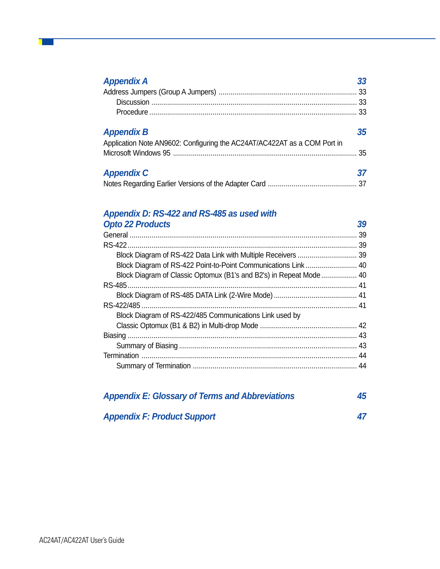| <b>Appendix A</b>                                                        | 33 |
|--------------------------------------------------------------------------|----|
|                                                                          |    |
|                                                                          | 33 |
|                                                                          |    |
| <b>Appendix B</b>                                                        | 35 |
| Application Note AN9602: Configuring the AC24AT/AC422AT as a COM Port in |    |
|                                                                          | 35 |
| <b>Appendix C</b>                                                        | 37 |
|                                                                          |    |

### *Appendix D: RS-422 and RS-485 as used with*

| <b>Opto 22 Products</b>                                             | 39  |
|---------------------------------------------------------------------|-----|
|                                                                     | -39 |
|                                                                     | 39  |
|                                                                     |     |
| Block Diagram of RS-422 Point-to-Point Communications Link 40       |     |
| Block Diagram of Classic Optomux (B1's and B2's) in Repeat Mode  40 |     |
|                                                                     |     |
|                                                                     |     |
|                                                                     |     |
| Block Diagram of RS-422/485 Communications Link used by             |     |
|                                                                     |     |
|                                                                     |     |
|                                                                     |     |
|                                                                     | 44  |
|                                                                     | 44  |

| <b>Appendix E: Glossary of Terms and Abbreviations</b> |    |  |  |
|--------------------------------------------------------|----|--|--|
| <b>Appendix F: Product Support</b>                     | 47 |  |  |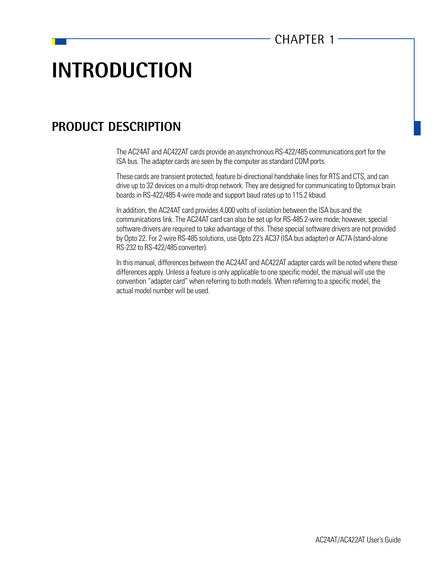## **INTRODUCTION**

## **PRODUCT DESCRIPTION**

The AC24AT and AC422AT cards provide an asynchronous RS-422/485 communications port for the ISA bus. The adapter cards are seen by the computer as standard COM ports.

These cards are transient protected, feature bi-directional handshake lines for RTS and CTS, and can drive up to 32 devices on a multi-drop network. They are designed for communicating to Optomux brain boards in RS-422/485 4-wire mode and support baud rates up to 115.2 kbaud.

In addition, the AC24AT card provides 4,000 volts of isolation between the ISA bus and the communications link. The AC24AT card can also be set up for RS-485 2-wire mode; however, special software drivers are required to take advantage of this. These special software drivers are not provided by Opto 22. For 2-wire RS-485 solutions, use Opto 22's AC37 (ISA bus adapter) or AC7A (stand-alone RS-232 to RS-422/485 converter).

In this manual, differences between the AC24AT and AC422AT adapter cards will be noted where these differences apply. Unless a feature is only applicable to one specific model, the manual will use the convention "adapter card" when referring to both models. When referring to a specific model, the actual model number will be used.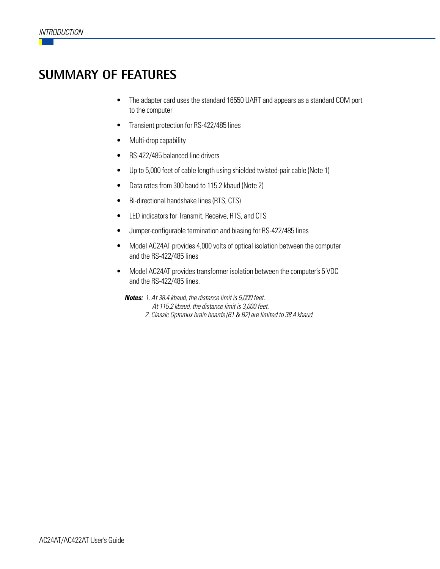## **SUMMARY OF FEATURES**

- The adapter card uses the standard 16550 UART and appears as a standard COM port to the computer
- Transient protection for RS-422/485 lines
- Multi-drop capability
- RS-422/485 balanced line drivers
- Up to 5,000 feet of cable length using shielded twisted-pair cable (Note 1)
- Data rates from 300 baud to 115.2 kbaud (Note 2)
- Bi-directional handshake lines (RTS, CTS)
- LED indicators for Transmit, Receive, RTS, and CTS
- Jumper-configurable termination and biasing for RS-422/485 lines
- Model AC24AT provides 4,000 volts of optical isolation between the computer and the RS-422/485 lines
- Model AC24AT provides transformer isolation between the computer's 5 VDC and the RS-422/485 lines.

**Notes:** 1. At 38.4 kbaud, the distance limit is 5,000 feet. At 115.2 kbaud, the distance limit is 3,000 feet. 2. Classic Optomux brain boards (B1 & B2) are limited to 38.4 kbaud.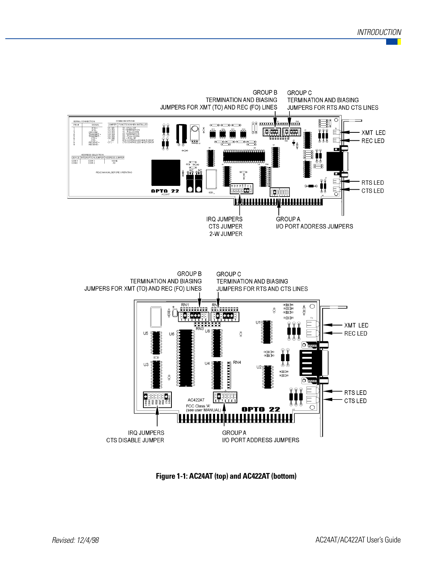

**Figure 1-1: AC24AT (top) and AC422AT (bottom)**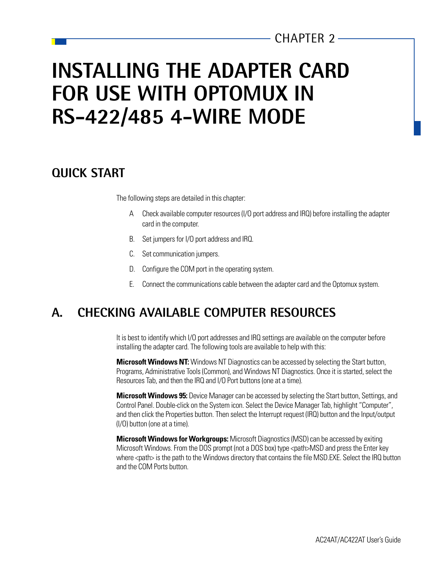## **INSTALLING THE ADAPTER CARD FOR USE WITH OPTOMUX IN RS-422/485 4-WIRE MODE**

## **QUICK START**

The following steps are detailed in this chapter:

- A Check available computer resources (I/O port address and IRQ) before installing the adapter card in the computer.
- B. Set jumpers for I/O port address and IRQ.
- C. Set communication jumpers.
- D. Configure the COM port in the operating system.
- E. Connect the communications cable between the adapter card and the Optomux system.

## **A. CHECKING AVAILABLE COMPUTER RESOURCES**

It is best to identify which I/O port addresses and IRQ settings are available on the computer before installing the adapter card. The following tools are available to help with this:

**Microsoft Windows NT:** Windows NT Diagnostics can be accessed by selecting the Start button, Programs, Administrative Tools (Common), and Windows NT Diagnostics. Once it is started, select the Resources Tab, and then the IRQ and I/O Port buttons (one at a time).

**Microsoft Windows 95:** Device Manager can be accessed by selecting the Start button, Settings, and Control Panel. Double-click on the System icon. Select the Device Manager Tab, highlight "Computer", and then click the Properties button. Then select the Interrupt request (IRQ) button and the Input/output (I/O) button (one at a time).

**Microsoft Windows for Workgroups:** Microsoft Diagnostics (MSD) can be accessed by exiting Microsoft Windows. From the DOS prompt (not a DOS box) type <path>MSD and press the Enter key where <path> is the path to the Windows directory that contains the file MSD.EXE. Select the IRQ button and the COM Ports button.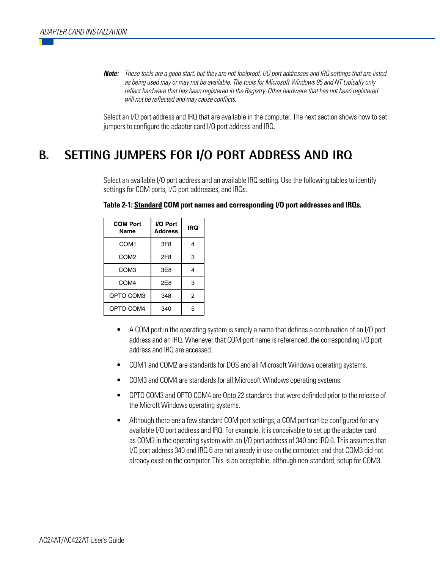**Note:** These tools are a good start, but they are not foolproof. I/O port addresses and IRQ settings that are listed as being used may or may not be available. The tools for Microsoft Windows 95 and NT typically only reflect hardware that has been registered in the Registry. Other hardware that has not been registered will not be reflected and may cause conflicts.

Select an I/O port address and IRQ that are available in the computer. The next section shows how to set jumpers to configure the adapter card I/O port address and IRQ.

## **B. SETTING JUMPERS FOR I/O PORT ADDRESS AND IRQ**

Select an available I/O port address and an available IRQ setting. Use the following tables to identify settings for COM ports, I/O port addresses, and IRQs.

| <b>COM Port</b><br>Name | I/O Port<br><b>Address</b> | IRQ            |
|-------------------------|----------------------------|----------------|
| COM <sub>1</sub>        | 3F8                        |                |
| COM <sub>2</sub>        | 2F8                        | 3              |
| COM <sub>3</sub>        | 3E8                        | 4              |
| COM <sub>4</sub>        | 2E8                        | 3              |
| OPTO COM3               | 348                        | $\mathfrak{p}$ |
| OPTO COM4               | 340                        | 5              |

#### **Table 2-1: Standard COM port names and corresponding I/O port addresses and IRQs.**

- A COM port in the operating system is simply a name that defines a combination of an I/O port address and an IRQ. Whenever that COM port name is referenced, the corresponding I/O port address and IRQ are accessed.
- COM1 and COM2 are standards for DOS and all Microsoft Windows operating systems.
- COM3 and COM4 are standards for all Microsoft Windows operating systems.
- OPTO COM3 and OPTO COM4 are Opto 22 standards that were definded prior to the release of the Microft Windows operating systems.
- Although there are a few standard COM port settings, a COM port can be configured for any available I/O port address and IRQ. For example, it is conceivable to set up the adapter card as COM3 in the operating system with an I/O port address of 340 and IRQ 6. This assumes that I/O port address 340 and IRQ 6 are not already in use on the computer, and that COM3 did not already exist on the computer. This is an acceptable, although non-standard, setup for COM3.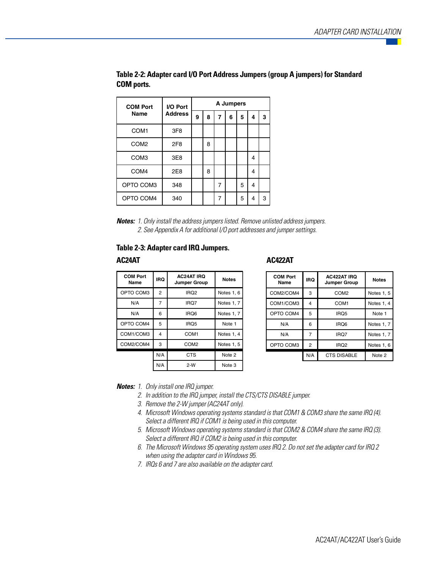| <b>COM Port</b>  | I/O Port        | A Jumpers |   |   |   |   |   |   |
|------------------|-----------------|-----------|---|---|---|---|---|---|
| Name             | <b>Address</b>  | 9         | 8 | 7 | 6 | 5 | 4 | 3 |
| COM <sub>1</sub> | 3F <sub>8</sub> |           |   |   |   |   |   |   |
| COM <sub>2</sub> | 2F8             |           | 8 |   |   |   |   |   |
| COM <sub>3</sub> | 3E8             |           |   |   |   |   | 4 |   |
| COM <sub>4</sub> | 2E8             |           | 8 |   |   |   | 4 |   |
| OPTO COM3        | 348             |           |   | 7 |   | 5 | 4 |   |
| OPTO COM4        | 340             |           |   | 7 |   | 5 | 4 | 3 |

**Table 2-2: Adapter card I/O Port Address Jumpers (group A jumpers) for Standard COM ports.**

**Notes:** 1. Only install the address jumpers listed. Remove unlisted address jumpers. 2. See Appendix A for additional I/O port addresses and jumper settings.

#### **Table 2-3: Adapter card IRQ Jumpers.**

| <b>COM Port</b><br>Name | <b>IRQ</b> | <b>AC24AT IRQ</b><br><b>Jumper Group</b> | <b>Notes</b> |
|-------------------------|------------|------------------------------------------|--------------|
| OPTO COM3               | 2          | IR <sub>Q</sub> 2                        | Notes 1, 6   |
| N/A                     | 7          | IRQ7                                     | Notes 1, 7   |
| N/A                     | 6          | IRQ6                                     | Notes 1, 7   |
| OPTO COM4               | 5          | IRQ5                                     | Note 1       |
| COM1/COM3               | 4          | COM1                                     | Notes 1, 4   |
| COM2/COM4               | 3          | COM <sub>2</sub>                         | Notes 1, 5   |
|                         | N/A        | <b>CTS</b>                               | Note 2       |
|                         | N/A        | $2-W$                                    | Note 3       |

**AC24AT AC422AT**

| <b>COM Port</b><br>Name | <b>IRQ</b> | <b>AC422AT IRQ</b><br><b>Jumper Group</b> | <b>Notes</b> |
|-------------------------|------------|-------------------------------------------|--------------|
| COM2/COM4               | 3          | COM <sub>2</sub>                          | Notes 1, 5   |
| COM1/COM3               | 4          | COM <sub>1</sub>                          | Notes 1, 4   |
| OPTO COM4               | 5          | IRQ5                                      | Note 1       |
| N/A                     | 6          | IRO <sub>6</sub>                          | Notes 1, 7   |
| N/A                     |            | IRQ7                                      | Notes 1, 7   |
| OPTO COM3               | 2          | IRQ <sub>2</sub>                          | Notes 1, 6   |
|                         | N/A        | <b>CTS DISABLE</b>                        | Note 2       |

**Notes:** 1. Only install one IRQ jumper.

- 2. In addition to the IRQ jumper, install the CTS/CTS DISABLE jumper.
- 3. Remove the 2-W jumper (AC24AT only).
- 4. Microsoft Windows operating systems standard is that COM1 & COM3 share the same IRQ (4). Select a different IRQ if COM1 is being used in this computer.
- 5. Microsoft Windows operating systems standard is that COM2 & COM4 share the same IRQ (3). Select a different IRQ if COM2 is being used in this computer.
- 6. The Microsoft Windows 95 operating system uses IRQ 2. Do not set the adapter card for IRQ 2 when using the adapter card in Windows 95.
- 7. IRQs 6 and 7 are also available on the adapter card.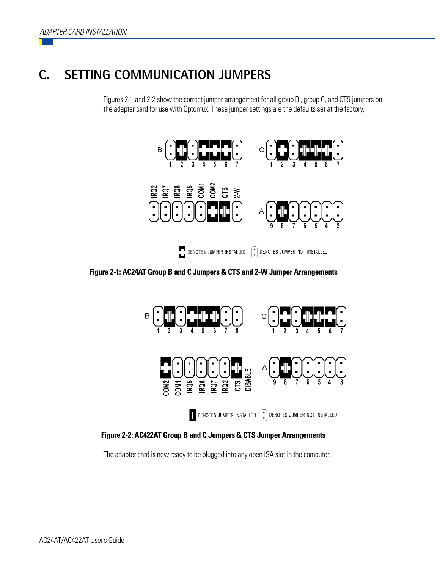## **C. SETTING COMMUNICATION JUMPERS**

Figures 2-1 and 2-2 show the correct jumper arrangement for all group B , group C, and CTS jumpers on the adapter card for use with Optomux. These jumper settings are the defaults set at the factory.



**Figure 2-1: AC24AT Group B and C Jumpers & CTS and 2-W Jumper Arrangements**



**Figure 2-2: AC422AT Group B and C Jumpers & CTS Jumper Arrangements**

The adapter card is now ready to be plugged into any open ISA slot in the computer.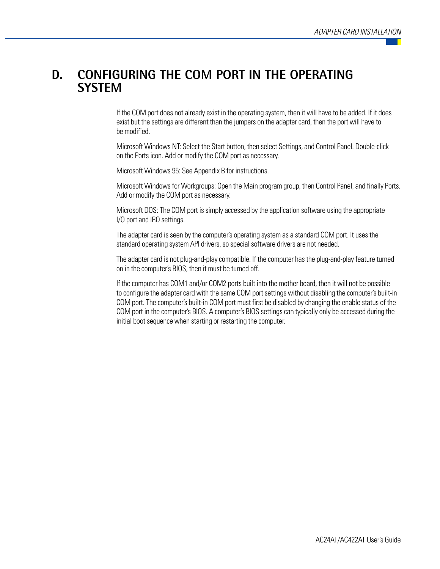## **D. CONFIGURING THE COM PORT IN THE OPERATING SYSTEM**

If the COM port does not already exist in the operating system, then it will have to be added. If it does exist but the settings are different than the jumpers on the adapter card, then the port will have to be modified.

Microsoft Windows NT: Select the Start button, then select Settings, and Control Panel. Double-click on the Ports icon. Add or modify the COM port as necessary.

Microsoft Windows 95: See Appendix B for instructions.

Microsoft Windows for Workgroups: Open the Main program group, then Control Panel, and finally Ports. Add or modify the COM port as necessary.

Microsoft DOS: The COM port is simply accessed by the application software using the appropriate I/O port and IRQ settings.

The adapter card is seen by the computer's operating system as a standard COM port. It uses the standard operating system API drivers, so special software drivers are not needed.

The adapter card is not plug-and-play compatible. If the computer has the plug-and-play feature turned on in the computer's BIOS, then it must be turned off.

If the computer has COM1 and/or COM2 ports built into the mother board, then it will not be possible to configure the adapter card with the same COM port settings without disabling the computer's built-in COM port. The computer's built-in COM port must first be disabled by changing the enable status of the COM port in the computer's BIOS. A computer's BIOS settings can typically only be accessed during the initial boot sequence when starting or restarting the computer.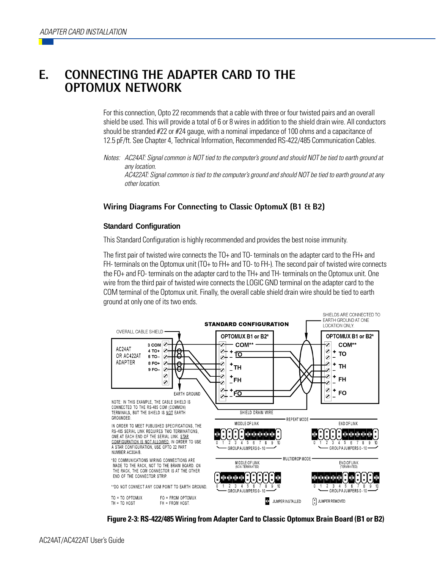## **E. CONNECTING THE ADAPTER CARD TO THE OPTOMUX NETWORK**

For this connection, Opto 22 recommends that a cable with three or four twisted pairs and an overall shield be used. This will provide a total of 6 or 8 wires in addition to the shield drain wire. All conductors should be stranded #22 or #24 gauge, with a nominal impedance of 100 ohms and a capacitance of 12.5 pF/ft. See Chapter 4, Technical Information, Recommended RS-422/485 Communication Cables.

Notes: AC24AT: Signal common is NOT tied to the computer's ground and should NOT be tied to earth ground at any location. AC422AT: Signal common is tied to the computer's ground and should NOT be tied to earth ground at any other location.

#### **Wiring Diagrams For Connecting to Classic OptomuX (B1 & B2)**

#### **Standard Configuration**

This Standard Configuration is highly recommended and provides the best noise immunity.

The first pair of twisted wire connects the TO+ and TO- terminals on the adapter card to the FH+ and FH- terminals on the Optomux unit (TO+ to FH+ and TO- to FH-). The second pair of twisted wire connects the FO+ and FO- terminals on the adapter card to the TH+ and TH- terminals on the Optomux unit. One wire from the third pair of twisted wire connects the LOGIC GND terminal on the adapter card to the COM terminal of the Optomux unit. Finally, the overall cable shield drain wire should be tied to earth ground at only one of its two ends.



**Figure 2-3: RS-422/485 Wiring from Adapter Card to Classic Optomux Brain Board (B1 or B2)**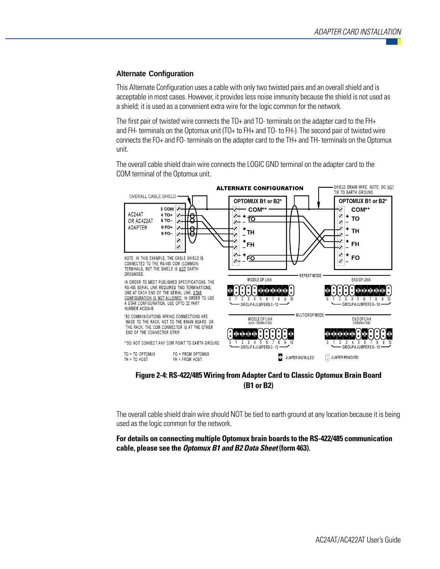#### **Alternate Configuration**

This Alternate Configuration uses a cable with only two twisted pairs and an overall shield and is acceptable in most cases. However, it provides less noise immunity because the shield is not used as a shield; it is used as a convenient extra wire for the logic common for the network.

The first pair of twisted wire connects the TO+ and TO- terminals on the adapter card to the FH+ and FH- terminals on the Optomux unit (TO+ to FH+ and TO- to FH-). The second pair of twisted wire connects the FO+ and FO- terminals on the adapter card to the TH+ and TH- terminals on the Optomux unit.

The overall cable shield drain wire connects the LOGIC GND terminal on the adapter card to the COM terminal of the Optomux unit.



**Figure 2-4: RS-422/485 Wiring from Adapter Card to Classic Optomux Brain Board (B1 or B2)**

The overall cable shield drain wire should NOT be tied to earth ground at any location because it is being used as the logic common for the network.

**For details on connecting multiple Optomux brain boards to the RS-422/485 communication cable, please see the Optomux B1 and B2 Data Sheet (form 463).**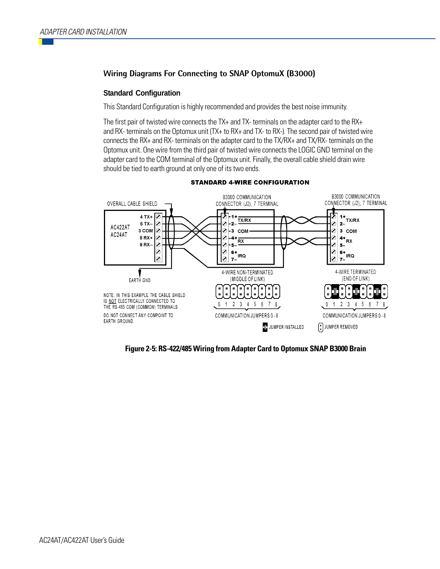#### **Wiring Diagrams For Connecting to SNAP OptomuX (B3000)**

#### **Standard Configuration**

This Standard Configuration is highly recommended and provides the best noise immunity.

The first pair of twisted wire connects the TX+ and TX- terminals on the adapter card to the RX+ and RX- terminals on the Optomux unit (TX+ to RX+ and TX- to RX-). The second pair of twisted wire connects the RX+ and RX- terminals on the adapter card to the TX/RX+ and TX/RX- terminals on the Optomux unit. One wire from the third pair of twisted wire connects the LOGIC GND terminal on the adapter card to the COM terminal of the Optomux unit. Finally, the overall cable shield drain wire should be tied to earth ground at only one of its two ends.



#### **STANDARD 4-WIRE CONFIGURATION**

**Figure 2-5: RS-422/485 Wiring from Adapter Card to Optomux SNAP B3000 Brain**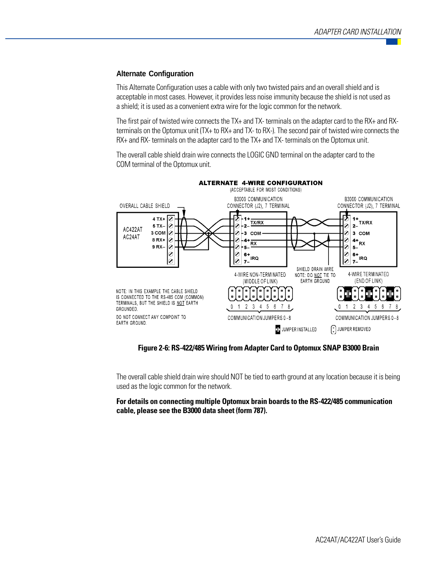#### **Alternate Configuration**

This Alternate Configuration uses a cable with only two twisted pairs and an overall shield and is acceptable in most cases. However, it provides less noise immunity because the shield is not used as a shield; it is used as a convenient extra wire for the logic common for the network.

The first pair of twisted wire connects the TX+ and TX- terminals on the adapter card to the RX+ and RXterminals on the Optomux unit (TX+ to RX+ and TX- to RX-). The second pair of twisted wire connects the RX+ and RX- terminals on the adapter card to the TX+ and TX- terminals on the Optomux unit.

The overall cable shield drain wire connects the LOGIC GND terminal on the adapter card to the COM terminal of the Optomux unit.



### **Figure 2-6: RS-422/485 Wiring from Adapter Card to Optomux SNAP B3000 Brain**

The overall cable shield drain wire should NOT be tied to earth ground at any location because it is being used as the logic common for the network.

**For details on connecting multiple Optomux brain boards to the RS-422/485 communication cable, please see the B3000 data sheet (form 787).**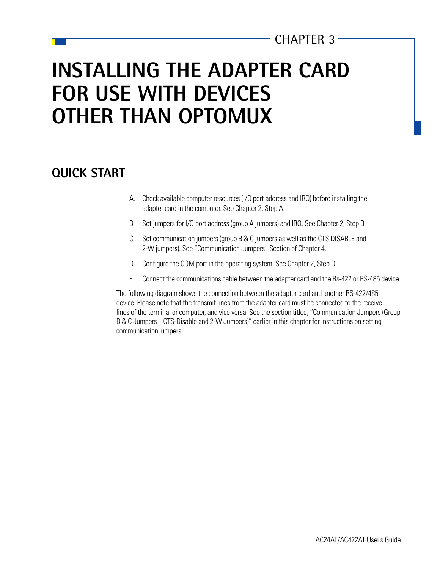## CHAPTER  $3-$

## **INSTALLING THE ADAPTER CARD FOR USE WITH DEVICES OTHER THAN OPTOMUX**

## **QUICK START**

- A. Check available computer resources (I/O port address and IRQ) before installing the adapter card in the computer. See Chapter 2, Step A.
- B. Set jumpers for I/O port address (group A jumpers) and IRQ. See Chapter 2, Step B.
- C. Set communication jumpers (group B & C jumpers as well as the CTS DISABLE and 2-W jumpers). See "Communication Jumpers" Section of Chapter 4.
- D. Configure the COM port in the operating system. See Chapter 2, Step D.
- E. Connect the communications cable between the adapter card and the Rs-422 or RS-485 device.

The following diagram shows the connection between the adapter card and another RS-422/485 device. Please note that the transmit lines from the adapter card must be connected to the receive lines of the terminal or computer, and vice versa. See the section titled, "Communication Jumpers (Group B & C Jumpers + CTS-Disable and 2-W Jumpers)" earlier in this chapter for instructions on setting communication jumpers.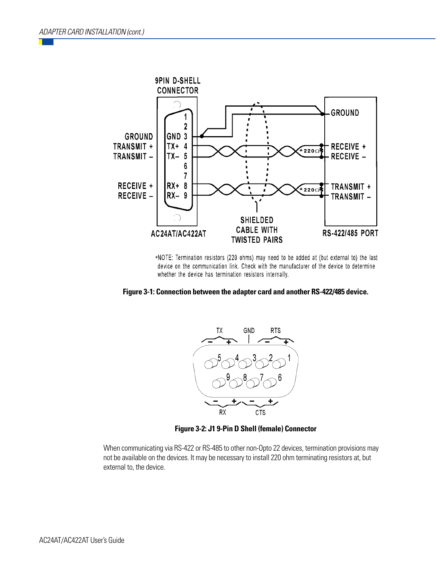

\*NOTE: Termination resistors (220 ohms) may need to be added at (but external to) the last device on the communication link. Check with the manufacturer of the device to determine whether the device has termination resistors internally.





**Figure 3-2: J1 9-Pin D Shell (female) Connector**

When communicating via RS-422 or RS-485 to other non-Opto 22 devices, termination provisions may not be available on the devices. It may be necessary to install 220 ohm terminating resistors at, but external to, the device.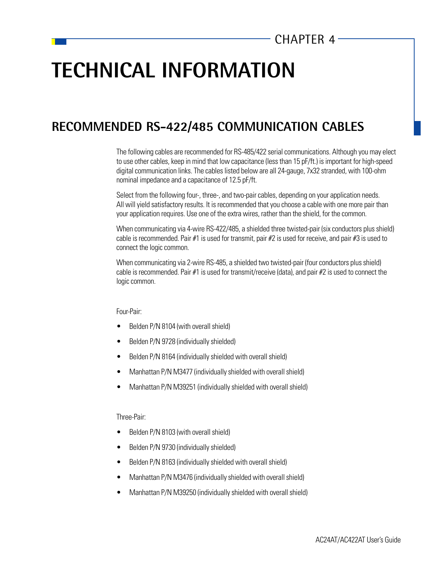## **TECHNICAL INFORMATION**

## **RECOMMENDED RS-422/485 COMMUNICATION CABLES**

The following cables are recommended for RS-485/422 serial communications. Although you may elect to use other cables, keep in mind that low capacitance (less than 15 pF/ft.) is important for high-speed digital communication links. The cables listed below are all 24-gauge, 7x32 stranded, with 100-ohm nominal impedance and a capacitance of 12.5 pF/ft.

Select from the following four-, three-, and two-pair cables, depending on your application needs. All will yield satisfactory results. It is recommended that you choose a cable with one more pair than your application requires. Use one of the extra wires, rather than the shield, for the common.

When communicating via 4-wire RS-422/485, a shielded three twisted-pair (six conductors plus shield) cable is recommended. Pair #1 is used for transmit, pair #2 is used for receive, and pair #3 is used to connect the logic common.

When communicating via 2-wire RS-485, a shielded two twisted-pair (four conductors plus shield) cable is recommended. Pair  $#1$  is used for transmit/receive (data), and pair  $#2$  is used to connect the logic common.

Four-Pair:

- Belden P/N 8104 (with overall shield)
- Belden P/N 9728 (individually shielded)
- Belden P/N 8164 (individually shielded with overall shield)
- Manhattan P/N M3477 (individually shielded with overall shield)
- Manhattan P/N M39251 (individually shielded with overall shield)

Three-Pair:

- Belden P/N 8103 (with overall shield)
- Belden P/N 9730 (individually shielded)
- Belden P/N 8163 (individually shielded with overall shield)
- Manhattan P/N M3476 (individually shielded with overall shield)
- Manhattan P/N M39250 (individually shielded with overall shield)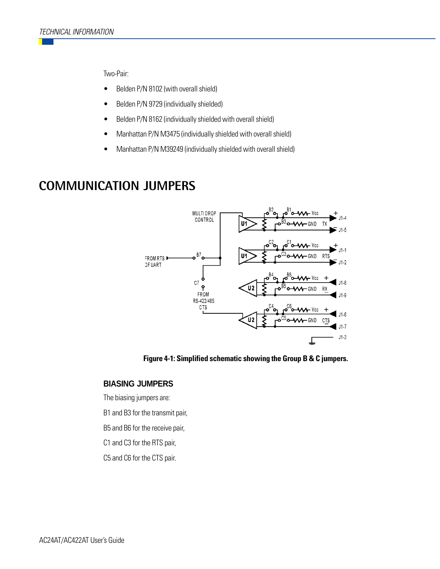Two-Pair:

- Belden P/N 8102 (with overall shield)
- Belden P/N 9729 (individually shielded)
- Belden P/N 8162 (individually shielded with overall shield)
- Manhattan P/N M3475 (individually shielded with overall shield)
- Manhattan P/N M39249 (individually shielded with overall shield)

## **COMMUNICATION JUMPERS**



**Figure 4-1: Simplified schematic showing the Group B & C jumpers.**

#### **BIASING JUMPERS**

The biasing jumpers are:

B1 and B3 for the transmit pair,

B5 and B6 for the receive pair,

C1 and C3 for the RTS pair,

C5 and C6 for the CTS pair.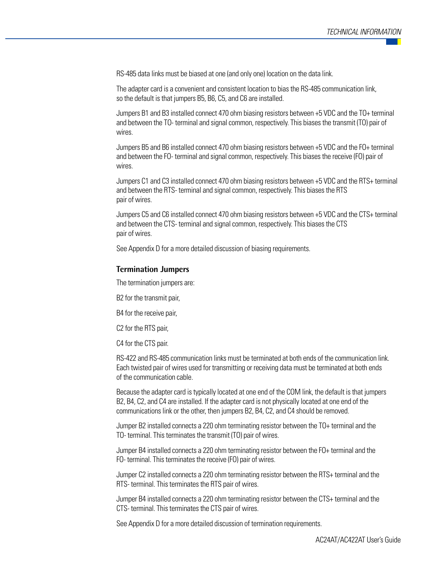RS-485 data links must be biased at one (and only one) location on the data link.

The adapter card is a convenient and consistent location to bias the RS-485 communication link, so the default is that jumpers B5, B6, C5, and C6 are installed.

Jumpers B1 and B3 installed connect 470 ohm biasing resistors between +5 VDC and the TO+ terminal and between the TO- terminal and signal common, respectively. This biases the transmit (TO) pair of wires.

Jumpers B5 and B6 installed connect 470 ohm biasing resistors between +5 VDC and the FO+ terminal and between the FO- terminal and signal common, respectively. This biases the receive (FO) pair of wires.

Jumpers C1 and C3 installed connect 470 ohm biasing resistors between +5 VDC and the RTS+ terminal and between the RTS- terminal and signal common, respectively. This biases the RTS pair of wires.

Jumpers C5 and C6 installed connect 470 ohm biasing resistors between +5 VDC and the CTS+ terminal and between the CTS- terminal and signal common, respectively. This biases the CTS pair of wires.

See Appendix D for a more detailed discussion of biasing requirements.

#### **Termination Jumpers**

The termination jumpers are:

B2 for the transmit pair,

B4 for the receive pair,

C2 for the RTS pair,

C4 for the CTS pair.

RS-422 and RS-485 communication links must be terminated at both ends of the communication link. Each twisted pair of wires used for transmitting or receiving data must be terminated at both ends of the communication cable.

Because the adapter card is typically located at one end of the COM link, the default is that jumpers B2, B4, C2, and C4 are installed. If the adapter card is not physically located at one end of the communications link or the other, then jumpers B2, B4, C2, and C4 should be removed.

Jumper B2 installed connects a 220 ohm terminating resistor between the TO+ terminal and the TO- terminal. This terminates the transmit (TO) pair of wires.

Jumper B4 installed connects a 220 ohm terminating resistor between the FO+ terminal and the FO- terminal. This terminates the receive (FO) pair of wires.

Jumper C2 installed connects a 220 ohm terminating resistor between the RTS+ terminal and the RTS- terminal. This terminates the RTS pair of wires.

Jumper B4 installed connects a 220 ohm terminating resistor between the CTS+ terminal and the CTS- terminal. This terminates the CTS pair of wires.

See Appendix D for a more detailed discussion of termination requirements.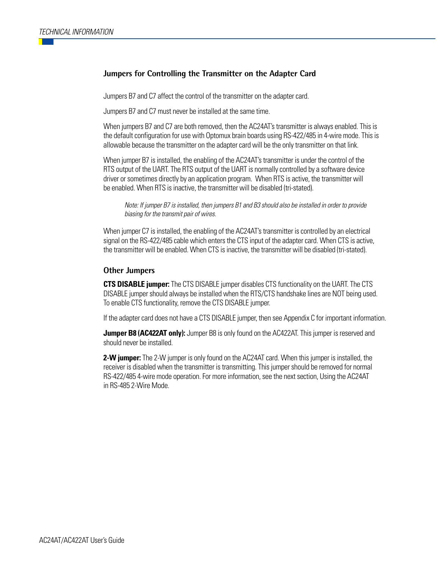#### **Jumpers for Controlling the Transmitter on the Adapter Card**

Jumpers B7 and C7 affect the control of the transmitter on the adapter card.

Jumpers B7 and C7 must never be installed at the same time.

When jumpers B7 and C7 are both removed, then the AC24AT's transmitter is always enabled. This is the default configuration for use with Optomux brain boards using RS-422/485 in 4-wire mode. This is allowable because the transmitter on the adapter card will be the only transmitter on that link.

When jumper B7 is installed, the enabling of the AC24AT's transmitter is under the control of the RTS output of the UART. The RTS output of the UART is normally controlled by a software device driver or sometimes directly by an application program. When RTS is active, the transmitter will be enabled. When RTS is inactive, the transmitter will be disabled (tri-stated).

Note: If jumper B7 is installed, then jumpers B1 and B3 should also be installed in order to provide biasing for the transmit pair of wires.

When jumper C7 is installed, the enabling of the AC24AT's transmitter is controlled by an electrical signal on the RS-422/485 cable which enters the CTS input of the adapter card. When CTS is active, the transmitter will be enabled. When CTS is inactive, the transmitter will be disabled (tri-stated).

#### **Other Jumpers**

**CTS DISABLE jumper:** The CTS DISABLE jumper disables CTS functionality on the UART. The CTS DISABLE jumper should always be installed when the RTS/CTS handshake lines are NOT being used. To enable CTS functionality, remove the CTS DISABLE jumper.

If the adapter card does not have a CTS DISABLE jumper, then see Appendix C for important information.

**Jumper B8 (AC422AT only):** Jumper B8 is only found on the AC422AT. This jumper is reserved and should never be installed.

**2-W jumper:** The 2-W jumper is only found on the AC24AT card. When this jumper is installed, the receiver is disabled when the transmitter is transmitting. This jumper should be removed for normal RS-422/485 4-wire mode operation. For more information, see the next section, Using the AC24AT in RS-485 2-Wire Mode.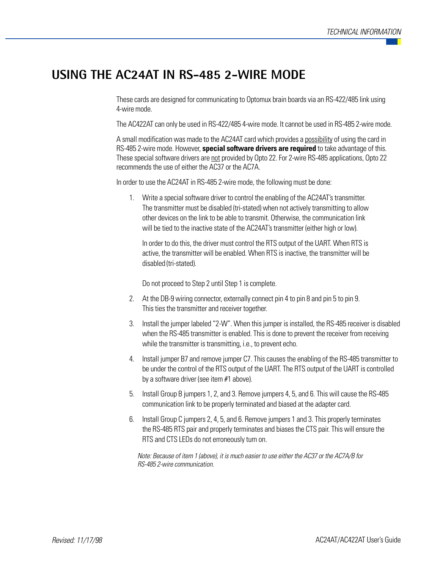## **USING THE AC24AT IN RS-485 2-WIRE MODE**

These cards are designed for communicating to Optomux brain boards via an RS-422/485 link using 4-wire mode.

The AC422AT can only be used in RS-422/485 4-wire mode. It cannot be used in RS-485 2-wire mode.

A small modification was made to the AC24AT card which provides a possibility of using the card in RS-485 2-wire mode. However, **special software drivers are required** to take advantage of this. These special software drivers are not provided by Opto 22. For 2-wire RS-485 applications, Opto 22 recommends the use of either the AC37 or the AC7A.

In order to use the AC24AT in RS-485 2-wire mode, the following must be done:

1. Write a special software driver to control the enabling of the AC24AT's transmitter. The transmitter must be disabled (tri-stated) when not actively transmitting to allow other devices on the link to be able to transmit. Otherwise, the communication link will be tied to the inactive state of the AC24AT's transmitter (either high or low).

In order to do this, the driver must control the RTS output of the UART. When RTS is active, the transmitter will be enabled. When RTS is inactive, the transmitter will be disabled (tri-stated).

Do not proceed to Step 2 until Step 1 is complete.

- 2. At the DB-9 wiring connector, externally connect pin 4 to pin 8 and pin 5 to pin 9. This ties the transmitter and receiver together.
- 3. Install the jumper labeled "2-W". When this jumper is installed, the RS-485 receiver is disabled when the RS-485 transmitter is enabled. This is done to prevent the receiver from receiving while the transmitter is transmitting, i.e., to prevent echo.
- 4. Install jumper B7 and remove jumper C7. This causes the enabling of the RS-485 transmitter to be under the control of the RTS output of the UART. The RTS output of the UART is controlled by a software driver (see item #1 above).
- 5. Install Group B jumpers 1, 2, and 3. Remove jumpers 4, 5, and 6. This will cause the RS-485 communication link to be properly terminated and biased at the adapter card.
- 6. Install Group C jumpers 2, 4, 5, and 6. Remove jumpers 1 and 3. This properly terminates the RS-485 RTS pair and properly terminates and biases the CTS pair. This will ensure the RTS and CTS LEDs do not erroneously turn on.

Note: Because of item 1 (above), it is much easier to use either the AC37 or the AC7A/B for RS-485 2-wire communication.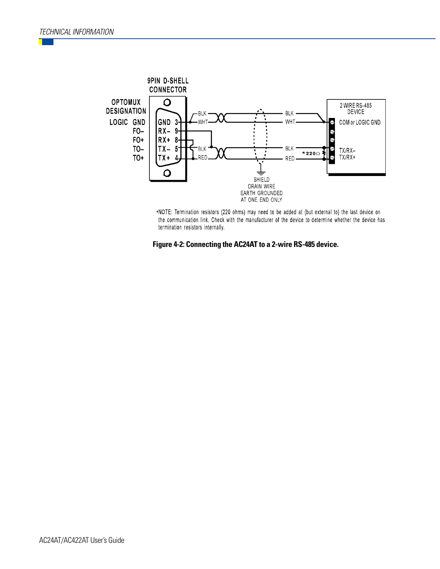

\*NOTE: Termination resistors (220 ohms) may need to be added at (but external to) the last device on the communication link. Check with the manufacturer of the device to determine whether the device has termination resistors internally.

**Figure 4-2: Connecting the AC24AT to a 2-wire RS-485 device.**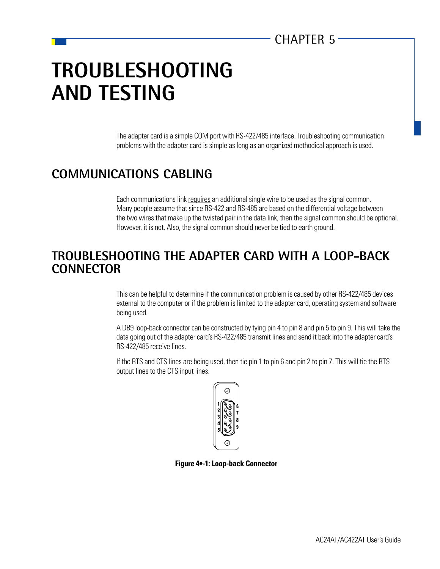## **TROUBLESHOOTING AND TESTING**

The adapter card is a simple COM port with RS-422/485 interface. Troubleshooting communication problems with the adapter card is simple as long as an organized methodical approach is used.

## **COMMUNICATIONS CABLING**

Each communications link requires an additional single wire to be used as the signal common. Many people assume that since RS-422 and RS-485 are based on the differential voltage between the two wires that make up the twisted pair in the data link, then the signal common should be optional. However, it is not. Also, the signal common should never be tied to earth ground.

## **TROUBLESHOOTING THE ADAPTER CARD WITH A LOOP-BACK CONNECTOR**

This can be helpful to determine if the communication problem is caused by other RS-422/485 devices external to the computer or if the problem is limited to the adapter card, operating system and software being used.

A DB9 loop-back connector can be constructed by tying pin 4 to pin 8 and pin 5 to pin 9. This will take the data going out of the adapter card's RS-422/485 transmit lines and send it back into the adapter card's RS-422/485 receive lines.

If the RTS and CTS lines are being used, then tie pin 1 to pin 6 and pin 2 to pin 7. This will tie the RTS output lines to the CTS input lines.



**Figure 4•-1: Loop-back Connector**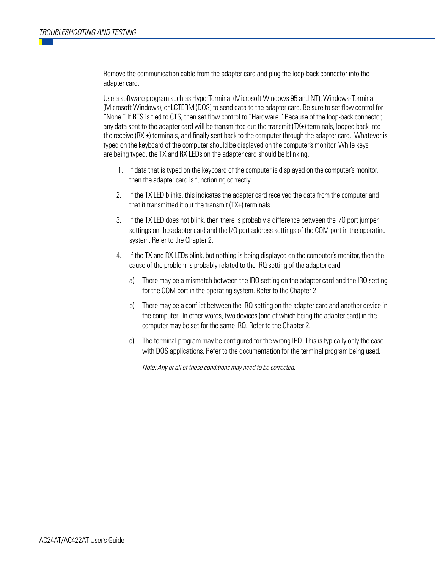Remove the communication cable from the adapter card and plug the loop-back connector into the adapter card.

Use a software program such as HyperTerminal (Microsoft Windows 95 and NT), Windows-Terminal (Microsoft Windows), or LCTERM (DOS) to send data to the adapter card. Be sure to set flow control for "None." If RTS is tied to CTS, then set flow control to "Hardware." Because of the loop-back connector, any data sent to the adapter card will be transmitted out the transmit (TX±) terminals, looped back into the receive  $(RX \pm)$  terminals, and finally sent back to the computer through the adapter card. Whatever is typed on the keyboard of the computer should be displayed on the computer's monitor. While keys are being typed, the TX and RX LEDs on the adapter card should be blinking.

- 1. If data that is typed on the keyboard of the computer is displayed on the computer's monitor, then the adapter card is functioning correctly.
- 2. If the TX LED blinks, this indicates the adapter card received the data from the computer and that it transmitted it out the transmit (TX±) terminals.
- 3. If the TX LED does not blink, then there is probably a difference between the I/O port jumper settings on the adapter card and the I/O port address settings of the COM port in the operating system. Refer to the Chapter 2.
- 4. If the TX and RX LEDs blink, but nothing is being displayed on the computer's monitor, then the cause of the problem is probably related to the IRQ setting of the adapter card.
	- a) There may be a mismatch between the IRQ setting on the adapter card and the IRQ setting for the COM port in the operating system. Refer to the Chapter 2.
	- b) There may be a conflict between the IRQ setting on the adapter card and another device in the computer. In other words, two devices (one of which being the adapter card) in the computer may be set for the same IRQ. Refer to the Chapter 2.
	- c) The terminal program may be configured for the wrong IRQ. This is typically only the case with DOS applications. Refer to the documentation for the terminal program being used.

Note: Any or all of these conditions may need to be corrected.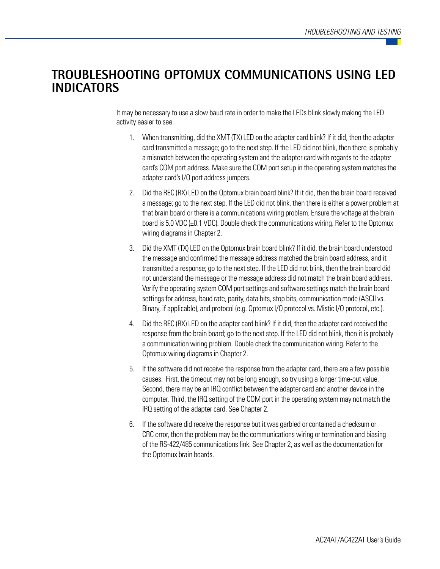## **TROUBLESHOOTING OPTOMUX COMMUNICATIONS USING LED INDICATORS**

It may be necessary to use a slow baud rate in order to make the LEDs blink slowly making the LED activity easier to see.

- 1. When transmitting, did the XMT (TX) LED on the adapter card blink? If it did, then the adapter card transmitted a message; go to the next step. If the LED did not blink, then there is probably a mismatch between the operating system and the adapter card with regards to the adapter card's COM port address. Make sure the COM port setup in the operating system matches the adapter card's I/O port address jumpers.
- 2. Did the REC (RX) LED on the Optomux brain board blink? If it did, then the brain board received a message; go to the next step. If the LED did not blink, then there is either a power problem at that brain board or there is a communications wiring problem. Ensure the voltage at the brain board is 5.0 VDC (±0.1 VDC). Double check the communications wiring. Refer to the Optomux wiring diagrams in Chapter 2.
- 3. Did the XMT (TX) LED on the Optomux brain board blink? If it did, the brain board understood the message and confirmed the message address matched the brain board address, and it transmitted a response; go to the next step. If the LED did not blink, then the brain board did not understand the message or the message address did not match the brain board address. Verify the operating system COM port settings and software settings match the brain board settings for address, baud rate, parity, data bits, stop bits, communication mode (ASCII vs. Binary, if applicable), and protocol (e.g. Optomux I/O protocol vs. Mistic I/O protocol, etc.).
- 4. Did the REC (RX) LED on the adapter card blink? If it did, then the adapter card received the response from the brain board; go to the next step. If the LED did not blink, then it is probably a communication wiring problem. Double check the communication wiring. Refer to the Optomux wiring diagrams in Chapter 2.
- 5. If the software did not receive the response from the adapter card, there are a few possible causes. First, the timeout may not be long enough, so try using a longer time-out value. Second, there may be an IRQ conflict between the adapter card and another device in the computer. Third, the IRQ setting of the COM port in the operating system may not match the IRQ setting of the adapter card. See Chapter 2.
- 6. If the software did receive the response but it was garbled or contained a checksum or CRC error, then the problem may be the communications wiring or termination and biasing of the RS-422/485 communications link. See Chapter 2, as well as the documentation for the Optomux brain boards.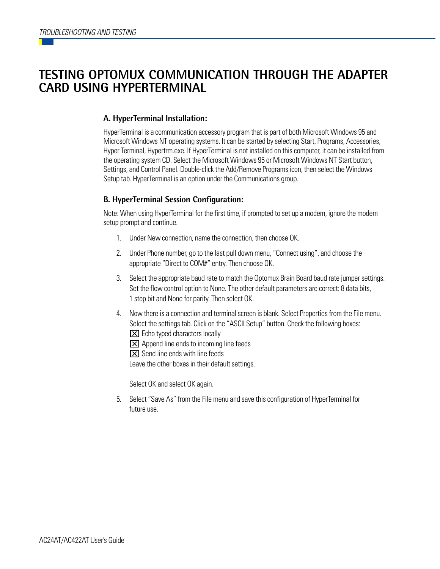## **TESTING OPTOMUX COMMUNICATION THROUGH THE ADAPTER CARD USING HYPERTERMINAL**

### **A. HyperTerminal Installation:**

HyperTerminal is a communication accessory program that is part of both Microsoft Windows 95 and Microsoft Windows NT operating systems. It can be started by selecting Start, Programs, Accessories, Hyper Terminal, Hypertrm.exe. If HyperTerminal is not installed on this computer, it can be installed from the operating system CD. Select the Microsoft Windows 95 or Microsoft Windows NT Start button, Settings, and Control Panel. Double-click the Add/Remove Programs icon, then select the Windows Setup tab. HyperTerminal is an option under the Communications group.

### **B. HyperTerminal Session Configuration:**

Note: When using HyperTerminal for the first time, if prompted to set up a modem, ignore the modem setup prompt and continue.

- 1. Under New connection, name the connection, then choose OK.
- 2. Under Phone number, go to the last pull down menu, "Connect using", and choose the appropriate "Direct to COM#" entry. Then choose OK.
- 3. Select the appropriate baud rate to match the Optomux Brain Board baud rate jumper settings. Set the flow control option to None. The other default parameters are correct: 8 data bits, 1 stop bit and None for parity. Then select OK.
- 4. Now there is a connection and terminal screen is blank. Select Properties from the File menu. Select the settings tab. Click on the "ASCII Setup" button. Check the following boxes:  $\boxed{\times}$  Echo typed characters locally
	- **[X]** Append line ends to incoming line feeds
	- **EX** Send line ends with line feeds

Leave the other boxes in their default settings.

Select OK and select OK again.

5. Select "Save As" from the File menu and save this configuration of HyperTerminal for future use.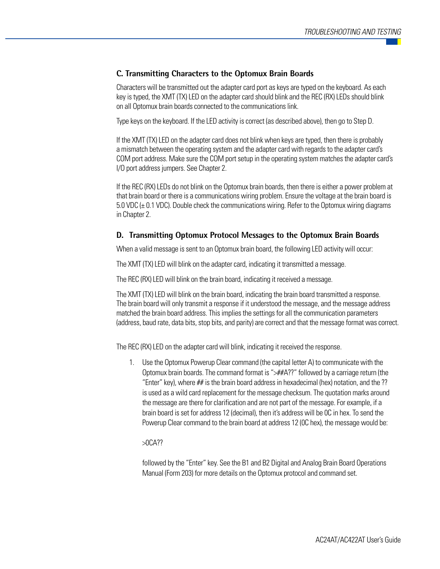#### **C. Transmitting Characters to the Optomux Brain Boards**

Characters will be transmitted out the adapter card port as keys are typed on the keyboard. As each key is typed, the XMT (TX) LED on the adapter card should blink and the REC (RX) LEDs should blink on all Optomux brain boards connected to the communications link.

Type keys on the keyboard. If the LED activity is correct (as described above), then go to Step D.

If the XMT (TX) LED on the adapter card does not blink when keys are typed, then there is probably a mismatch between the operating system and the adapter card with regards to the adapter card's COM port address. Make sure the COM port setup in the operating system matches the adapter card's I/O port address jumpers. See Chapter 2.

If the REC (RX) LEDs do not blink on the Optomux brain boards, then there is either a power problem at that brain board or there is a communications wiring problem. Ensure the voltage at the brain board is 5.0 VDC (± 0.1 VDC). Double check the communications wiring. Refer to the Optomux wiring diagrams in Chapter 2.

#### **D. Transmitting Optomux Protocol Messages to the Optomux Brain Boards**

When a valid message is sent to an Optomux brain board, the following LED activity will occur:

The XMT (TX) LED will blink on the adapter card, indicating it transmitted a message.

The REC (RX) LED will blink on the brain board, indicating it received a message.

The XMT (TX) LED will blink on the brain board, indicating the brain board transmitted a response. The brain board will only transmit a response if it understood the message, and the message address matched the brain board address. This implies the settings for all the communication parameters (address, baud rate, data bits, stop bits, and parity) are correct and that the message format was correct.

The REC (RX) LED on the adapter card will blink, indicating it received the response.

1. Use the Optomux Powerup Clear command (the capital letter A) to communicate with the Optomux brain boards. The command format is " $\rightarrow$ ##A??" followed by a carriage return (the "Enter" key), where ## is the brain board address in hexadecimal (hex) notation, and the ?? is used as a wild card replacement for the message checksum. The quotation marks around the message are there for clarification and are not part of the message. For example, if a brain board is set for address 12 (decimal), then it's address will be 0C in hex. To send the Powerup Clear command to the brain board at address 12 (0C hex), the message would be:

>0CA??

followed by the "Enter" key. See the B1 and B2 Digital and Analog Brain Board Operations Manual (Form 203) for more details on the Optomux protocol and command set.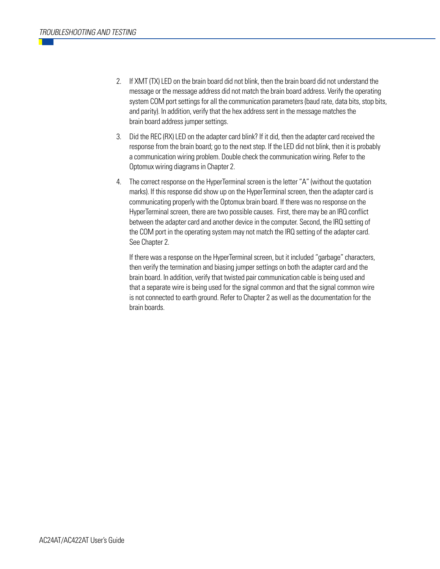- 2. If XMT (TX) LED on the brain board did not blink, then the brain board did not understand the message or the message address did not match the brain board address. Verify the operating system COM port settings for all the communication parameters (baud rate, data bits, stop bits, and parity). In addition, verify that the hex address sent in the message matches the brain board address jumper settings.
- 3. Did the REC (RX) LED on the adapter card blink? If it did, then the adapter card received the response from the brain board; go to the next step. If the LED did not blink, then it is probably a communication wiring problem. Double check the communication wiring. Refer to the Optomux wiring diagrams in Chapter 2.
- 4. The correct response on the HyperTerminal screen is the letter "A" (without the quotation marks). If this response did show up on the HyperTerminal screen, then the adapter card is communicating properly with the Optomux brain board. If there was no response on the HyperTerminal screen, there are two possible causes. First, there may be an IRQ conflict between the adapter card and another device in the computer. Second, the IRQ setting of the COM port in the operating system may not match the IRQ setting of the adapter card. See Chapter 2.

If there was a response on the HyperTerminal screen, but it included "garbage" characters, then verify the termination and biasing jumper settings on both the adapter card and the brain board. In addition, verify that twisted pair communication cable is being used and that a separate wire is being used for the signal common and that the signal common wire is not connected to earth ground. Refer to Chapter 2 as well as the documentation for the brain boards.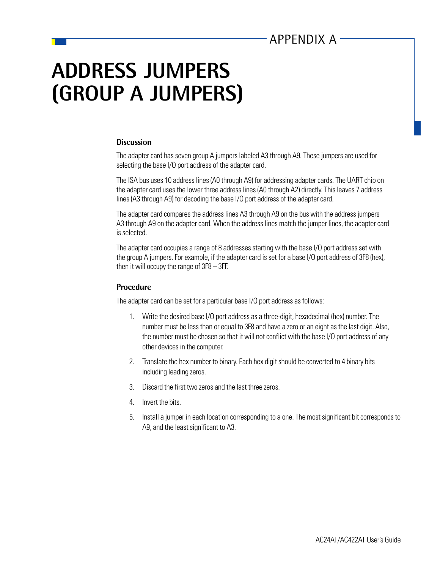## **ADDRESS JUMPERS (GROUP A JUMPERS)**

#### **Discussion**

The adapter card has seven group A jumpers labeled A3 through A9. These jumpers are used for selecting the base I/O port address of the adapter card.

The ISA bus uses 10 address lines (A0 through A9) for addressing adapter cards. The UART chip on the adapter card uses the lower three address lines (A0 through A2) directly. This leaves 7 address lines (A3 through A9) for decoding the base I/O port address of the adapter card.

The adapter card compares the address lines A3 through A9 on the bus with the address jumpers A3 through A9 on the adapter card. When the address lines match the jumper lines, the adapter card is selected.

The adapter card occupies a range of 8 addresses starting with the base I/O port address set with the group A jumpers. For example, if the adapter card is set for a base I/O port address of 3F8 (hex), then it will occupy the range of 3F8 – 3FF.

#### **Procedure**

The adapter card can be set for a particular base I/O port address as follows:

- 1. Write the desired base I/O port address as a three-digit, hexadecimal (hex) number. The number must be less than or equal to 3F8 and have a zero or an eight as the last digit. Also, the number must be chosen so that it will not conflict with the base I/O port address of any other devices in the computer.
- 2. Translate the hex number to binary. Each hex digit should be converted to 4 binary bits including leading zeros.
- 3. Discard the first two zeros and the last three zeros.
- 4. Invert the bits.
- 5. Install a jumper in each location corresponding to a one. The most significant bit corresponds to A9, and the least significant to A3.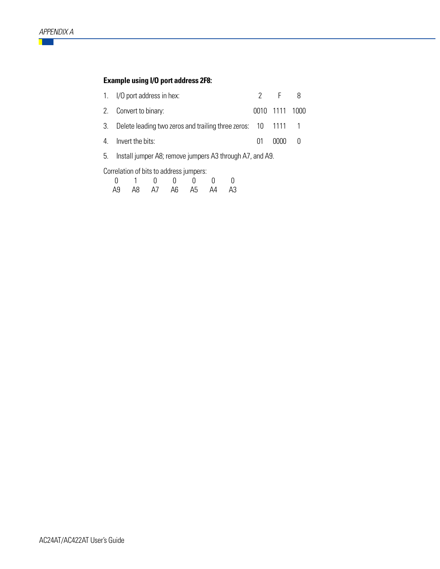### **Example using I/O port address 2F8:**

| 1. I/O port address in hex:                                     | 2 F 8          |  |
|-----------------------------------------------------------------|----------------|--|
| 2. Convert to binary:                                           | 0010 1111 1000 |  |
| 3. Delete leading two zeros and trailing three zeros: 10 1111 1 |                |  |
| 4. Invert the bits:                                             | 01 0000 0      |  |
|                                                                 |                |  |

5. Install jumper A8; remove jumpers A3 through A7, and A9.

Correlation of bits to address jumpers:

|  | $0 \quad 1 \quad 0 \quad 0 \quad 0 \quad 0$ |  |  |
|--|---------------------------------------------|--|--|
|  | A9 A8 A7 A6 A5 A4 A3                        |  |  |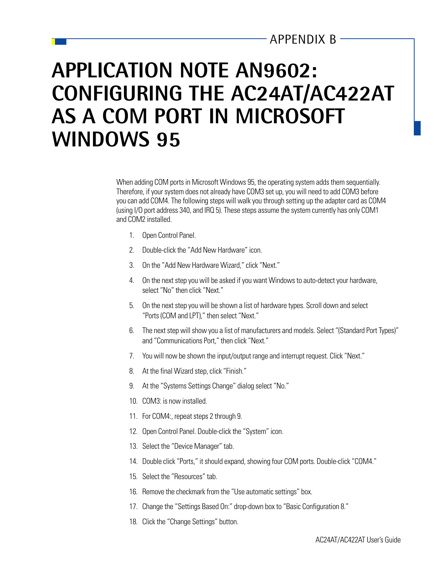## APPENDIX B

## **APPLICATION NOTE AN9602: CONFIGURING THE AC24AT/AC422AT AS A COM PORT IN MICROSOFT WINDOWS 95**

When adding COM ports in Microsoft Windows 95, the operating system adds them sequentially. Therefore, if your system does not already have COM3 set up, you will need to add COM3 before you can add COM4. The following steps will walk you through setting up the adapter card as COM4 (using I/O port address 340, and IRQ 5). These steps assume the system currently has only COM1 and COM2 installed.

- 1. Open Control Panel.
- 2. Double-click the "Add New Hardware" icon.
- 3. On the "Add New Hardware Wizard," click "Next."
- 4. On the next step you will be asked if you want Windows to auto-detect your hardware, select "No" then click "Next."
- 5. On the next step you will be shown a list of hardware types. Scroll down and select "Ports (COM and LPT)," then select "Next."
- 6. The next step will show you a list of manufacturers and models. Select "(Standard Port Types)" and "Communications Port," then click "Next."
- 7. You will now be shown the input/output range and interrupt request. Click "Next."
- 8. At the final Wizard step, click "Finish."
- 9. At the "Systems Settings Change" dialog select "No."
- 10. COM3: is now installed.
- 11. For COM4:, repeat steps 2 through 9.
- 12. Open Control Panel. Double-click the "System" icon.
- 13. Select the "Device Manager" tab.
- 14. Double click "Ports," it should expand, showing four COM ports. Double-click "COM4."
- 15. Select the "Resources" tab.
- 16. Remove the checkmark from the "Use automatic settings" box.
- 17. Change the "Settings Based On:" drop-down box to "Basic Configuration 8."
- 18. Click the "Change Settings" button.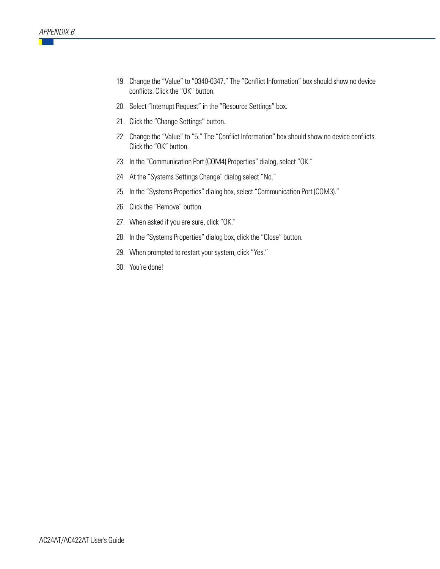- 19. Change the "Value" to "0340-0347." The "Conflict Information" box should show no device conflicts. Click the "OK" button.
- 20. Select "Interrupt Request" in the "Resource Settings" box.
- 21. Click the "Change Settings" button.
- 22. Change the "Value" to "5." The "Conflict Information" box should show no device conflicts. Click the "OK" button.
- 23. In the "Communication Port (COM4) Properties" dialog, select "OK."
- 24. At the "Systems Settings Change" dialog select "No."
- 25. In the "Systems Properties" dialog box, select "Communication Port (COM3)."
- 26. Click the "Remove" button.
- 27. When asked if you are sure, click "OK."
- 28. In the "Systems Properties" dialog box, click the "Close" button.
- 29. When prompted to restart your system, click "Yes."
- 30. You're done!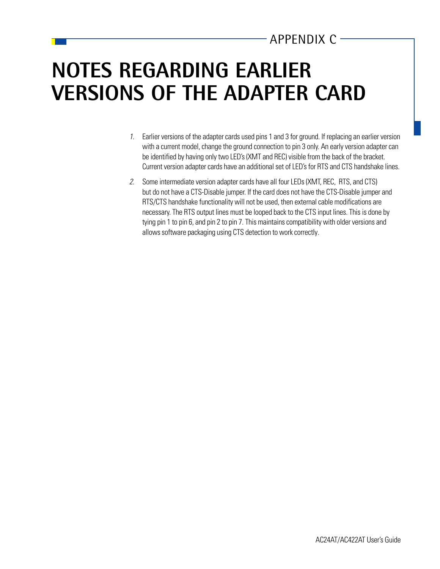## APPENDIX C

## **NOTES REGARDING EARLIER VERSIONS OF THE ADAPTER CARD**

- 1. Earlier versions of the adapter cards used pins 1 and 3 for ground. If replacing an earlier version with a current model, change the ground connection to pin 3 only. An early version adapter can be identified by having only two LED's (XMT and REC) visible from the back of the bracket. Current version adapter cards have an additional set of LED's for RTS and CTS handshake lines.
- 2. Some intermediate version adapter cards have all four LEDs (XMT, REC, RTS, and CTS) but do not have a CTS-Disable jumper. If the card does not have the CTS-Disable jumper and RTS/CTS handshake functionality will not be used, then external cable modifications are necessary. The RTS output lines must be looped back to the CTS input lines. This is done by tying pin 1 to pin 6, and pin 2 to pin 7. This maintains compatibility with older versions and allows software packaging using CTS detection to work correctly.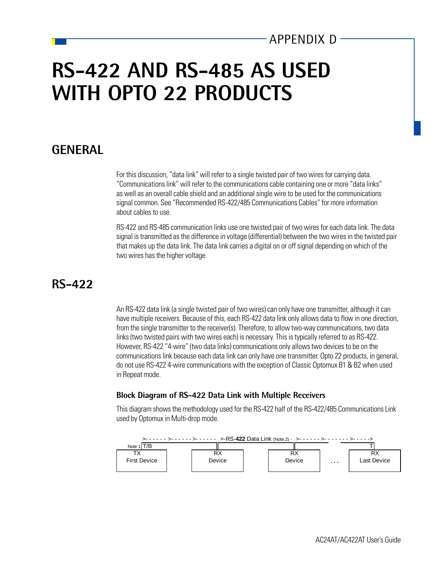## APPENDIX D

## **RS-422 AND RS-485 AS USED WITH OPTO 22 PRODUCTS**

### **GENERAL**

For this discussion, "data link" will refer to a single twisted pair of two wires for carrying data. "Communications link" will refer to the communications cable containing one or more "data links" as well as an overall cable shield and an additional single wire to be used for the communications signal common. See "Recommended RS-422/485 Communications Cables" for more information about cables to use.

RS-422 and RS-485 communication links use one twisted pair of two wires for each data link. The data signal is transmitted as the difference in voltage (differential) between the two wires in the twisted pair that makes up the data link. The data link carries a digital on or off signal depending on which of the two wires has the higher voltage.

## **RS-422**

An RS-422 data link (a single twisted pair of two wires) can only have one transmitter, although it can have multiple receivers. Because of this, each RS-422 data link only allows data to flow in one direction, from the single transmitter to the receiver(s). Therefore, to allow two-way communications, two data links (two twisted pairs with two wires each) is necessary. This is typically referred to as RS-422. However, RS-422 "4-wire" (two data links) communications only allows two devices to be on the communications link because each data link can only have one transmitter. Opto 22 products, in general, do not use RS-422 4-wire communications with the exception of Classic Optomux B1 & B2 when used in Repeat mode.

#### **Block Diagram of RS-422 Data Link with Multiple Receivers**

This diagram shows the methodology used for the RS-422 half of the RS-422/485 Communications Link used by Optomux in Multi-drop mode.

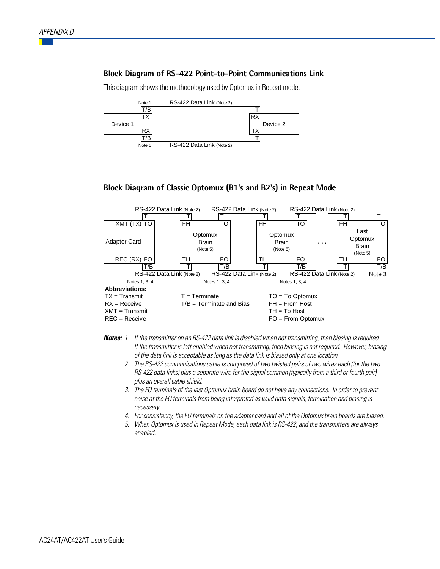#### **Block Diagram of RS-422 Point-to-Point Communications Link**

This diagram shows the methodology used by Optomux in Repeat mode.



#### **Block Diagram of Classic Optomux (B1's and B2's) in Repeat Mode**



- **Notes:** 1. If the transmitter on an RS-422 data link is disabled when not transmitting, then biasing is required. If the transmitter is left enabled when not transmitting, then biasing is not required. However, biasing of the data link is acceptable as long as the data link is biased only at one location.
	- 2. The RS-422 communications cable is composed of two twisted pairs of two wires each (for the two RS-422 data links) plus a separate wire for the signal common (typically from a third or fourth pair) plus an overall cable shield.
	- 3. The FO terminals of the last Optomux brain board do not have any connections. In order to prevent noise at the FO terminals from being interpreted as valid data signals, termination and biasing is necessary.
	- 4. For consistency, the FO terminals on the adapter card and all of the Optomux brain boards are biased.
	- 5. When Optomux is used in Repeat Mode, each data link is RS-422, and the transmitters are always enabled.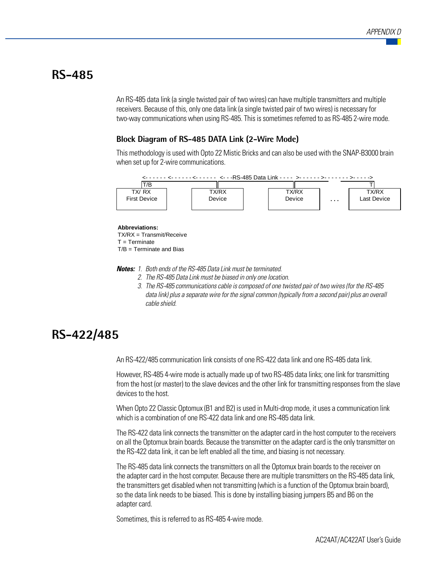### **RS-485**

An RS-485 data link (a single twisted pair of two wires) can have multiple transmitters and multiple receivers. Because of this, only one data link (a single twisted pair of two wires) is necessary for two-way communications when using RS-485. This is sometimes referred to as RS-485 2-wire mode.

#### **Block Diagram of RS-485 DATA Link (2-Wire Mode)**

This methodology is used with Opto 22 Mistic Bricks and can also be used with the SNAP-B3000 brain when set up for 2-wire communications.



**Abbreviations:** TX/RX = Transmit/Receive  $T = Terminate$ 

 $T/B = T$ erminate and Bias

**Notes:** 1. Both ends of the RS-485 Data Link must be terminated.

- 2. The RS-485 Data Link must be biased in only one location.
- 3. The RS-485 communications cable is composed of one twisted pair of two wires (for the RS-485 data link) plus a separate wire for the signal common (typically from a second pair) plus an overall cable shield.

## **RS-422/485**

An RS-422/485 communication link consists of one RS-422 data link and one RS-485 data link.

However, RS-485 4-wire mode is actually made up of two RS-485 data links; one link for transmitting from the host (or master) to the slave devices and the other link for transmitting responses from the slave devices to the host.

When Opto 22 Classic Optomux (B1 and B2) is used in Multi-drop mode, it uses a communication link which is a combination of one RS-422 data link and one RS-485 data link.

The RS-422 data link connects the transmitter on the adapter card in the host computer to the receivers on all the Optomux brain boards. Because the transmitter on the adapter card is the only transmitter on the RS-422 data link, it can be left enabled all the time, and biasing is not necessary.

The RS-485 data link connects the transmitters on all the Optomux brain boards to the receiver on the adapter card in the host computer. Because there are multiple transmitters on the RS-485 data link, the transmitters get disabled when not transmitting (which is a function of the Optomux brain board), so the data link needs to be biased. This is done by installing biasing jumpers B5 and B6 on the adapter card.

Sometimes, this is referred to as RS-485 4-wire mode.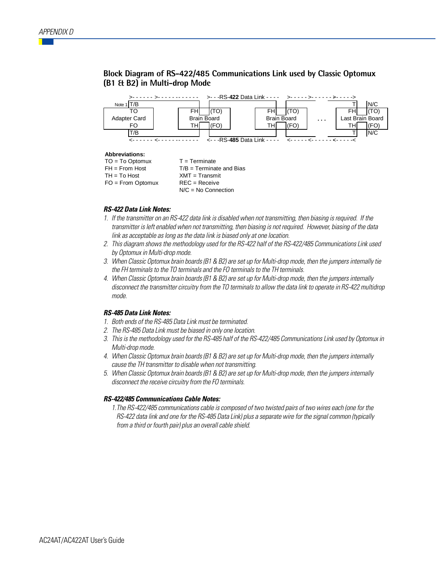#### **Block Diagram of RS-422/485 Communications Link used by Classic Optomux (B1 & B2) in Multi-drop Mode**



#### **Abbreviations:**

| $TO = To Optomux$   | $T = Terminate$            |
|---------------------|----------------------------|
| $FH = From Host$    | $T/B = Terminate$ and Bias |
| $TH = To Host$      | $XMT = Transmit$           |
| $FO = From$ Optomux | $REC = Receive$            |
|                     | $N/C = No$ Connection      |

#### **RS-422 Data Link Notes:**

- 1. If the transmitter on an RS-422 data link is disabled when not transmitting, then biasing is required. If the transmitter is left enabled when not transmitting, then biasing is not required. However, biasing of the data link as acceptable as long as the data link is biased only at one location.
- 2. This diagram shows the methodology used for the RS-422 half of the RS-422/485 Communications Link used by Optomux in Multi-drop mode.
- 3. When Classic Optomux brain boards (B1 & B2) are set up for Multi-drop mode, then the jumpers internally tie the FH terminals to the TO terminals and the FO terminals to the TH terminals.
- 4. When Classic Optomux brain boards (B1 & B2) are set up for Multi-drop mode, then the jumpers internally disconnect the transmitter circuitry from the TO terminals to allow the data link to operate in RS-422 multidrop mode.

#### **RS-485 Data Link Notes:**

- 1. Both ends of the RS-485 Data Link must be terminated.
- 2. The RS-485 Data Link must be biased in only one location.
- 3. This is the methodology used for the RS-485 half of the RS-422/485 Communications Link used by Optomux in Multi-drop mode.
- 4. When Classic Optomux brain boards (B1 & B2) are set up for Multi-drop mode, then the jumpers internally cause the TH transmitter to disable when not transmitting.
- 5. When Classic Optomux brain boards (B1 & B2) are set up for Multi-drop mode, then the jumpers internally disconnect the receive circuitry from the FO terminals.

#### **RS-422/485 Communications Cable Notes:**

1.The RS-422/485 communications cable is composed of two twisted pairs of two wires each (one for the RS-422 data link and one for the RS-485 Data Link) plus a separate wire for the signal common (typically from a third or fourth pair) plus an overall cable shield.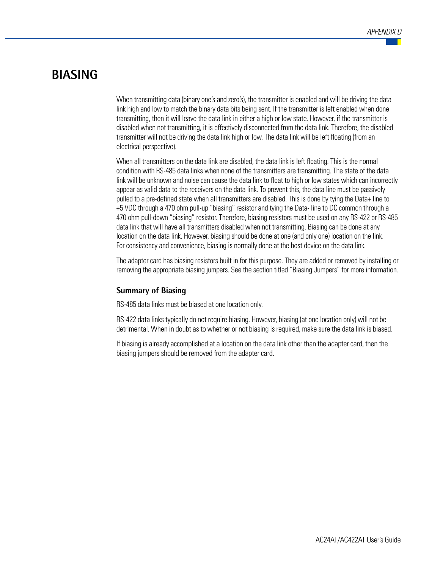### **BIASING**

When transmitting data (binary one's and zero's), the transmitter is enabled and will be driving the data link high and low to match the binary data bits being sent. If the transmitter is left enabled when done transmitting, then it will leave the data link in either a high or low state. However, if the transmitter is disabled when not transmitting, it is effectively disconnected from the data link. Therefore, the disabled transmitter will not be driving the data link high or low. The data link will be left floating (from an electrical perspective).

When all transmitters on the data link are disabled, the data link is left floating. This is the normal condition with RS-485 data links when none of the transmitters are transmitting. The state of the data link will be unknown and noise can cause the data link to float to high or low states which can incorrectly appear as valid data to the receivers on the data link. To prevent this, the data line must be passively pulled to a pre-defined state when all transmitters are disabled. This is done by tying the Data+ line to +5 VDC through a 470 ohm pull-up "biasing" resistor and tying the Data- line to DC common through a 470 ohm pull-down "biasing" resistor. Therefore, biasing resistors must be used on any RS-422 or RS-485 data link that will have all transmitters disabled when not transmitting. Biasing can be done at any location on the data link. However, biasing should be done at one (and only one) location on the link. For consistency and convenience, biasing is normally done at the host device on the data link.

The adapter card has biasing resistors built in for this purpose. They are added or removed by installing or removing the appropriate biasing jumpers. See the section titled "Biasing Jumpers" for more information.

#### **Summary of Biasing**

RS-485 data links must be biased at one location only.

RS-422 data links typically do not require biasing. However, biasing (at one location only) will not be detrimental. When in doubt as to whether or not biasing is required, make sure the data link is biased.

If biasing is already accomplished at a location on the data link other than the adapter card, then the biasing jumpers should be removed from the adapter card.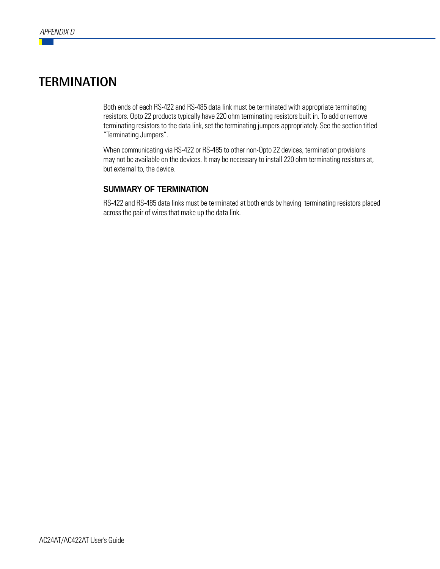## **TERMINATION**

Both ends of each RS-422 and RS-485 data link must be terminated with appropriate terminating resistors. Opto 22 products typically have 220 ohm terminating resistors built in. To add or remove terminating resistors to the data link, set the terminating jumpers appropriately. See the section titled "Terminating Jumpers".

When communicating via RS-422 or RS-485 to other non-Opto 22 devices, termination provisions may not be available on the devices. It may be necessary to install 220 ohm terminating resistors at, but external to, the device.

### **SUMMARY OF TERMINATION**

RS-422 and RS-485 data links must be terminated at both ends by having terminating resistors placed across the pair of wires that make up the data link.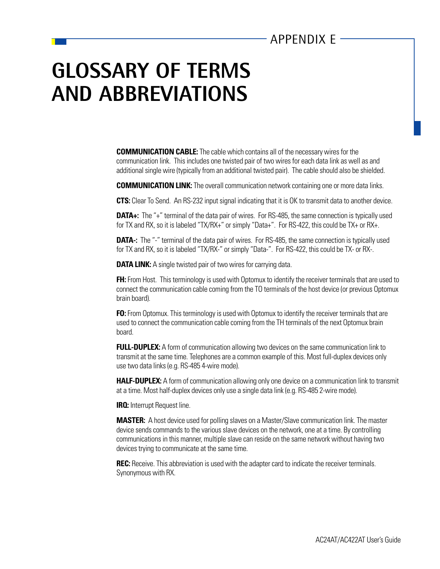## APPENDIX E

## **GLOSSARY OF TERMS AND ABBREVIATIONS**

**COMMUNICATION CABLE:** The cable which contains all of the necessary wires for the communication link. This includes one twisted pair of two wires for each data link as well as and additional single wire (typically from an additional twisted pair). The cable should also be shielded.

**COMMUNICATION LINK:** The overall communication network containing one or more data links.

**CTS:** Clear To Send. An RS-232 input signal indicating that it is OK to transmit data to another device.

**DATA+:** The "+" terminal of the data pair of wires. For RS-485, the same connection is typically used for TX and RX, so it is labeled "TX/RX+" or simply "Data+". For RS-422, this could be TX+ or RX+.

**DATA-:** The "-" terminal of the data pair of wires. For RS-485, the same connection is typically used for TX and RX, so it is labeled "TX/RX-" or simply "Data-". For RS-422, this could be TX- or RX-.

**DATA LINK:** A single twisted pair of two wires for carrying data.

**FH:** From Host. This terminology is used with Optomux to identify the receiver terminals that are used to connect the communication cable coming from the TO terminals of the host device (or previous Optomux brain board).

**FO:** From Optomux. This terminology is used with Optomux to identify the receiver terminals that are used to connect the communication cable coming from the TH terminals of the next Optomux brain board.

**FULL-DUPLEX:** A form of communication allowing two devices on the same communication link to transmit at the same time. Telephones are a common example of this. Most full-duplex devices only use two data links (e.g. RS-485 4-wire mode).

**HALF-DUPLEX:** A form of communication allowing only one device on a communication link to transmit at a time. Most half-duplex devices only use a single data link (e.g. RS-485 2-wire mode).

**IRQ:** Interrupt Request line.

**MASTER:** A host device used for polling slaves on a Master/Slave communication link. The master device sends commands to the various slave devices on the network, one at a time. By controlling communications in this manner, multiple slave can reside on the same network without having two devices trying to communicate at the same time.

**REC:** Receive. This abbreviation is used with the adapter card to indicate the receiver terminals. Synonymous with RX.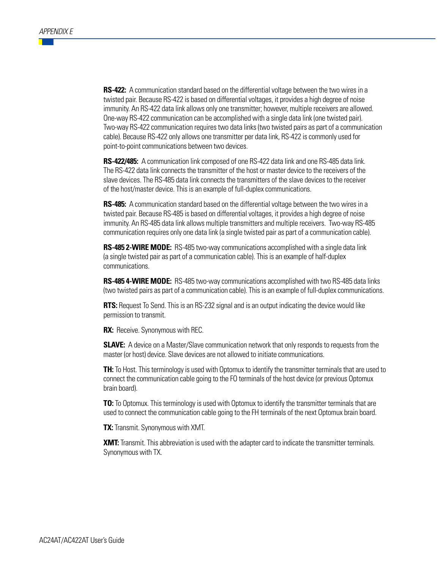**RS-422:** A communication standard based on the differential voltage between the two wires in a twisted pair. Because RS-422 is based on differential voltages, it provides a high degree of noise immunity. An RS-422 data link allows only one transmitter; however, multiple receivers are allowed. One-way RS-422 communication can be accomplished with a single data link (one twisted pair). Two-way RS-422 communication requires two data links (two twisted pairs as part of a communication cable). Because RS-422 only allows one transmitter per data link, RS-422 is commonly used for point-to-point communications between two devices.

**RS-422/485:** A communication link composed of one RS-422 data link and one RS-485 data link. The RS-422 data link connects the transmitter of the host or master device to the receivers of the slave devices. The RS-485 data link connects the transmitters of the slave devices to the receiver of the host/master device. This is an example of full-duplex communications.

**RS-485:** A communication standard based on the differential voltage between the two wires in a twisted pair. Because RS-485 is based on differential voltages, it provides a high degree of noise immunity. An RS-485 data link allows multiple transmitters and multiple receivers. Two-way RS-485 communication requires only one data link (a single twisted pair as part of a communication cable).

**RS-485 2-WIRE MODE:** RS-485 two-way communications accomplished with a single data link (a single twisted pair as part of a communication cable). This is an example of half-duplex communications.

**RS-485 4-WIRE MODE:** RS-485 two-way communications accomplished with two RS-485 data links (two twisted pairs as part of a communication cable). This is an example of full-duplex communications.

**RTS:** Request To Send. This is an RS-232 signal and is an output indicating the device would like permission to transmit.

**RX:** Receive. Synonymous with REC.

**SLAVE:** A device on a Master/Slave communication network that only responds to requests from the master (or host) device. Slave devices are not allowed to initiate communications.

**TH:** To Host. This terminology is used with Optomux to identify the transmitter terminals that are used to connect the communication cable going to the FO terminals of the host device (or previous Optomux brain board).

**TO:** To Optomux. This terminology is used with Optomux to identify the transmitter terminals that are used to connect the communication cable going to the FH terminals of the next Optomux brain board.

**TX:** Transmit. Synonymous with XMT.

**XMT:** Transmit. This abbreviation is used with the adapter card to indicate the transmitter terminals. Synonymous with TX.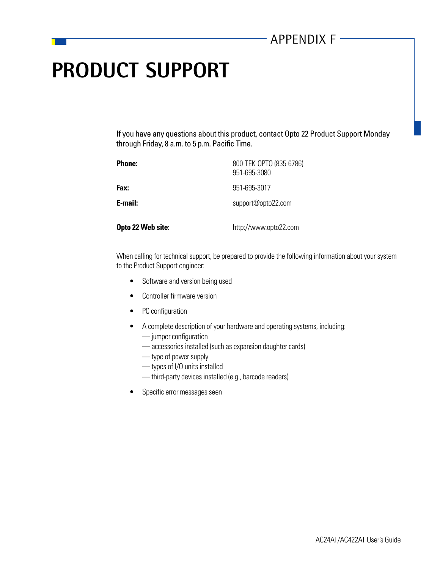## **PRODUCT SUPPORT**

If you have any questions about this product, contact Opto 22 Product Support Monday through Friday, 8 a.m. to 5 p.m. Pacific Time.

| <b>Phone:</b>     | 800-TEK-OPTO (835-6786)<br>951-695-3080 |
|-------------------|-----------------------------------------|
| Fax:              | 951-695-3017                            |
| E-mail:           | support@opto22.com                      |
| Opto 22 Web site: | http://www.opto22.com                   |

When calling for technical support, be prepared to provide the following information about your system to the Product Support engineer:

- Software and version being used
- Controller firmware version
- PC configuration
- A complete description of your hardware and operating systems, including:
	- jumper configuration
	- accessories installed (such as expansion daughter cards)
	- type of power supply
	- types of I/O units installed
	- third-party devices installed (e.g., barcode readers)
- Specific error messages seen